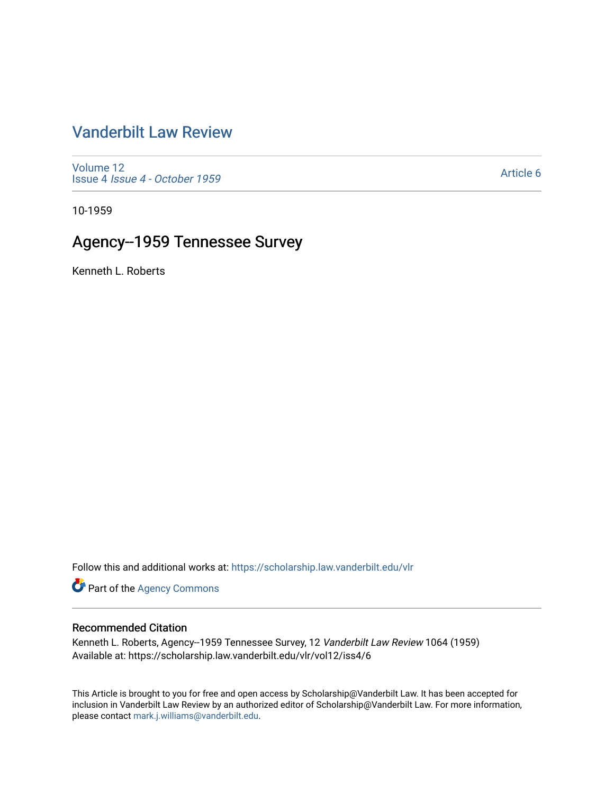# [Vanderbilt Law Review](https://scholarship.law.vanderbilt.edu/vlr)

[Volume 12](https://scholarship.law.vanderbilt.edu/vlr/vol12) Issue 4 [Issue 4 - October 1959](https://scholarship.law.vanderbilt.edu/vlr/vol12/iss4) 

[Article 6](https://scholarship.law.vanderbilt.edu/vlr/vol12/iss4/6) 

10-1959

# Agency--1959 Tennessee Survey

Kenneth L. Roberts

Follow this and additional works at: [https://scholarship.law.vanderbilt.edu/vlr](https://scholarship.law.vanderbilt.edu/vlr?utm_source=scholarship.law.vanderbilt.edu%2Fvlr%2Fvol12%2Fiss4%2F6&utm_medium=PDF&utm_campaign=PDFCoverPages)

Part of the [Agency Commons](http://network.bepress.com/hgg/discipline/829?utm_source=scholarship.law.vanderbilt.edu%2Fvlr%2Fvol12%2Fiss4%2F6&utm_medium=PDF&utm_campaign=PDFCoverPages) 

## Recommended Citation

Kenneth L. Roberts, Agency--1959 Tennessee Survey, 12 Vanderbilt Law Review 1064 (1959) Available at: https://scholarship.law.vanderbilt.edu/vlr/vol12/iss4/6

This Article is brought to you for free and open access by Scholarship@Vanderbilt Law. It has been accepted for inclusion in Vanderbilt Law Review by an authorized editor of Scholarship@Vanderbilt Law. For more information, please contact [mark.j.williams@vanderbilt.edu.](mailto:mark.j.williams@vanderbilt.edu)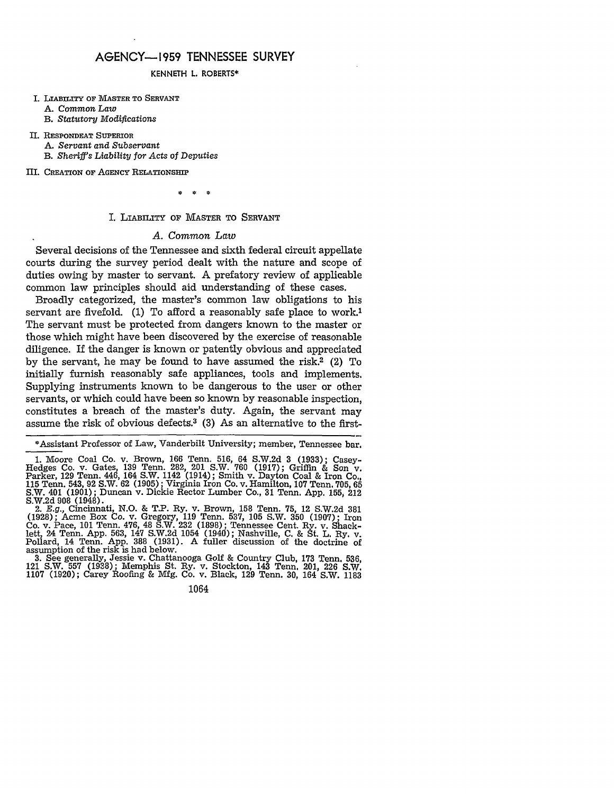## **AGENCY-1959 TENNESSEE** SURVEY

#### **KENNETH** L. ROBERTS\*

I. **LABILTY** OF MASTER TO **SERVANT A.** *Common Law*

B. *Statutory* Modifications

II. **RESPONDEAT** SUPERIOR A. *Servant and Subservant* B. *Sheriffs Liability for Acts of Deputies*

III. CREATION OF AGENCY RELATIONSHIP

ż ź.

#### I. LIABIITY OF MASTER TO **SERVANT**

#### *A. Common Law*

Several decisions of the Tennessee and sixth federal circuit appellate courts during the survey period dealt with the nature and scope of duties owing by master to servant. A prefatory review of applicable common law principles should aid understanding of these cases.

Broadly categorized, the master's common law obligations to his servant are fivefold. (1) To afford a reasonably safe place to work.<sup>1</sup> The servant must be protected from dangers known to the master or those which might have been discovered by the exercise of reasonable diligence. If the danger is known or patently obvious and appreciated by the servant, he may be found to have assumed the risk.2 (2) To initially furnish reasonably safe appliances, tools and implements. Supplying instruments known to be dangerous to the user or other servants, or which could have been so known by reasonable inspection, constitutes a breach of the master's duty. Again, the servant may assume the risk of obvious defects.3 (3) As an alternative to the first-

\*Assistant Professor of Law, Vanderbilt University; member, Tennessee bar.

1. Moore Coal Co. v. Brown, 166 Tenn. 516, 64 S.W.2d 3 (1933); Casey- Hedges Co. v. Gates, 139 Tenn. 282, 201 S.W. 760 (1917); Griffin & Son v. Parker, 129 Tenn. 446, 164 S.W. 1142 (1914); Smith v. Dayton Coal & Iron Co., 115 Tenn. 543, 92 S.W. 62 (1905); Virginia Iron Co. v. Hamilton, 107 Tenn. 705, 65 S.W. 401 (1901); Duncan v. Dickie Rector Lumber Co., 31 Tenn. App. 155, 212 S.W.2d 908 (1948). 2. *E.g.,* Cincinnati, N.O. & T.P. Ry. v. Brown, 158 Tenn. 75, 12 S.W.2d 381

(1928); Acme Box Co. v. Gregory, 119 Tenn. 537, 105 S.W. 350 (1907); Iron Co. v. Pace, 101 Tenn. 476, 48 S.W. 232 (1898); Tennessee Cent. Ry. v. Shack-lett, 24 Tenn. App. 563, 147 S.W.2d 1054 (1940); Nashville, C. & St. L. Ry. v. Pollard, 14 Tenn. App. **388** (1931). A fuller discussion of the doctrine of assumption of the risk is had below.

3. See generally, Jessie v. Chattanooga Golf & Country Club, 173 Tenn. 536, 121 S.W. 557 (1938); Memphis St. Ry. v. Stockton, 143 Tenn. 201, 226 S.W. 1107 (1920); Carey Roofing & Mfg. Co. v. Black, 129 Tenn. 30, 164 S.W. 1183

1064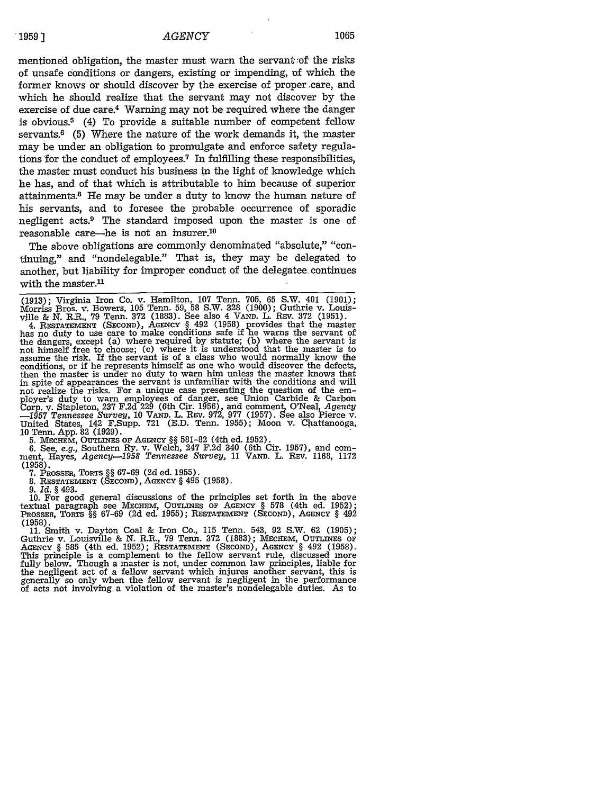mentioned obligation, the master must warn the servant of the risks of unsafe conditions or dangers, existing or impending, of which the former knows or should discover by the exercise of proper care, and which he should realize that the servant may not discover by the exercise of due care.4 Warning may not be required where the danger is obvious.<sup>5</sup> (4) To provide a suitable number of competent fellow servants.6 (5) Where the nature of the work demands it, the master may be under an obligation to promulgate and enforce safety regulations 'for the conduct of employees.7 In fulfilling these responsibilities, the master must conduct his business in the light of knowledge which he has, and of that which is attributable to him because of superior attainments.8 He may be under a duty to know the human nature of his servants, and to foresee the probable occurrence of sporadic negligent acts.9 The standard imposed upon the master is one of reasonable care-he is not an insurer.10

The above obligations are commonly denominated "absolute," "continuing," and "nondelegable." That is, they may be delegated to another, but liability for improper conduct of the delegatee continues with the master. $11$ 

(1913); Virginia Iron Co. v. Hamilton, 107 Tenn. 705, 65 S.W. 401 (1901); Morriss Bros. v. Bowers, 105 Tenn. 59, 58 S.W. **328** (1900); Guthrie v. Louis-

ville & N. R.R., **79** Tenn. **372** (1883). See also 4 **VAND.** L. REV. **372** (1951). 4. **RESTATEMENT** (SECOND), AGENCY § 492 (1958) provides that the master has no duty to use care to make conditions safe if he warns the servant of the dangers, except (a) where required by statute; (b) where the servant is<br>not himself free to choose; (c) where it is understood that the master is to<br>assume the risk. If the servant is of a class who would normally know conditions, or if he represents himself as one who would discover the defects, then the master is under no duty to warn him unless the master knows that in spite of appearances the servant is unfamiliar with the conditions and will not realize the risks. For a unique case presenting the question of the employer's duty to warn employees of danger, see Union Carbide & Carbon<br>Corp. v. Stapleton, 237 F.2d 229 (6th Cir. 1956), and comment, O'Neal, Agency<br>—1957 Tennessee Survey, 10 VAND, L. REv. 972, 977 (1957). See also Pierce United States, 142 F.Supp. **721** (E.D. Tenn. 1955); Moon v. Chattanooga, 10 Tenn. App. 82 (1929).

**5. MEcHEM,** OUTLINES Or AGENCY §§ 581-82 (4th ed. 1952). 6. See, e.g., Southern Ry. v. Welch, 247 F.2d 340 (6th Cir. 1957), and comment, Hayes, *Agency*-1958 Tennessee Survey, 11 VAND. L. REV. 1168, 1172 **(1958).**

**7.** PROSSER, TORTS §§ 67-69 (2d ed. 1955).

**8. RESTATEMENT** (SECOND), AGENCY § 495 (1958).

9. *Id.* § 493.

10. For good general discussions of the principles set forth in the above textual paragraph see MEcnEM, OUTLINES OF AGENCY § **578** (4th ed. 1952); PROSSER, TORTS **§§ 67-69** (2d ed. 1955); RESTATEMENT (SECOND), AGENCY § 492 (1958).

11. Smith v. Dayton Coal & Iron Co., 115 Tenn. 543, 92 S.W. **62** (1905); Guthrie v. Louisville & N. R.R., 79 Tenn. 372 (1883); MECHEM, OUTLINES OF AGENCY § 585 (4th ed. 1952); RESTATEMENT (SECOND), AGENCY § 492 (1958). This principle is a complement to the fellow servant rule, discussed inore fully below. Though a master is not, under common law principles, liable for the negligent act of a fellow servant which injures another servant, this is<br>generally so only when the fellow servant is negligent in the performance<br>of acts not involving a violation of the master's nondelegable duties.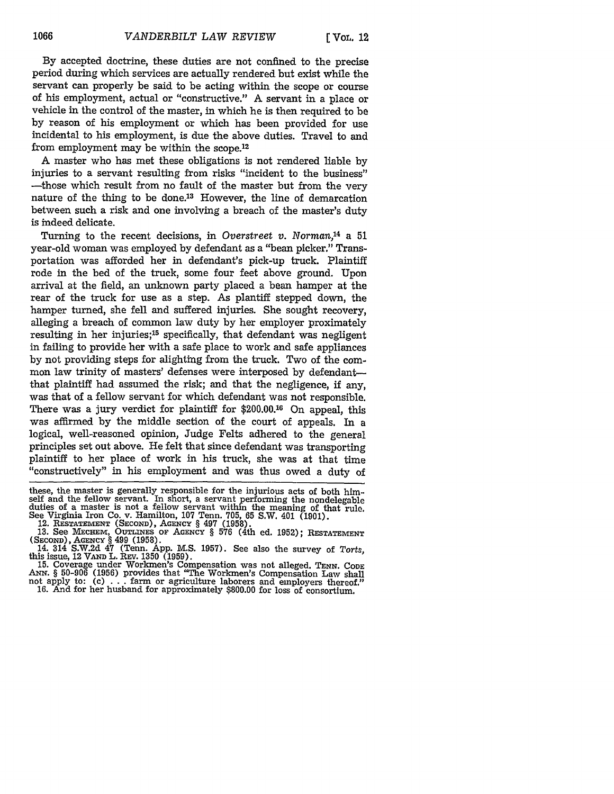By accepted doctrine, these duties are not confined to the precise period during which services are actually rendered but exist while the servant can properly be said to be acting within the scope or course of his employment, actual or "constructive." A servant in a place or vehicle in the control of the master, in which he is then required to be by reason of his employment or which has been provided for use incidental to his employment, is due the above duties. Travel to and from employment may be within the scope.12

A master who has met these obligations is not rendered liable by injuries to a servant resulting from risks "incident to the business" -those which result from no fault of the master but from the very nature of the thing to be done.13 However, the line of demarcation between such a risk and one involving a breach of the master's duty is indeed delicate.

Turning to the recent decisions, in *Overstreet v. Norman,14* a 51 year-old woman was employed by defendant as a "bean picker." Transportation was afforded her in defendant's pick-up truck. Plaintiff rode in the bed of the truck, some four feet above ground. Upon arrival at the field, an unknown party placed a bean hamper at the rear of the truck for use as a step. As plantiff stepped down, the hamper turned, she fell and suffered injuries. She sought recovery, alleging a breach of common law duty by her employer proximately resulting in her injuries;<sup>15</sup> specifically, that defendant was negligent in failing to provide her with a safe place to work and safe appliances by not providing steps for alighting from the truck. Two of the common law trinity of masters' defenses were interposed by defendantthat plaintiff had assumed the risk; and that the negligence, **if** any, was that of a fellow servant for which defendant was not responsible. There was a jury verdict for plaintiff for \$200.00.16 On appeal, this was affirmed by the middle section of the court of appeals. In a logical, well-reasoned opinion, Judge Felts adhered to the general principles set out above. He felt that since defendant was transporting plaintiff to her place of work in his truck, she was at that time "constructively" in his employment and was thus owed a duty of

these, the master is generally responsible for the injurious acts of both himself and the fellow servant. In short, a servant performing the nondelegable duties of a master is not a fellow servant within the meaning of that rule. See Virginia Iron Co. v. Hamilton, **107** Tenn. 705, **65** S.W. 401 (1901).

12. RESTATEMENT (SECOND), **AGENCY** § 497 **(1958).**

*ANN.* § **50-906 (1956)** provides that "The Workmen's Compensation Law shall not apply to: (c) **. . .** farm or agriculture laborers and employers thereof." **16.** And for her husband for approximately **\$800.00** for loss of consortium.

**<sup>13.</sup>** See MEcHEm, OUTLINES OF AGENCY § **576** (4th ed. 1952); RESTATEMENT

<sup>(</sup>SECOND), AGENCY § 499 (1958).<br>14. 314 S.W.2d 47 (Tenn. App. M.S. 1957). See also the survey of Torts,<br>this issue, 12 VAND L. REV. 1350 (1959).<br>15. Coverage under Workmen's Compensation was not alleged. TENN. Copp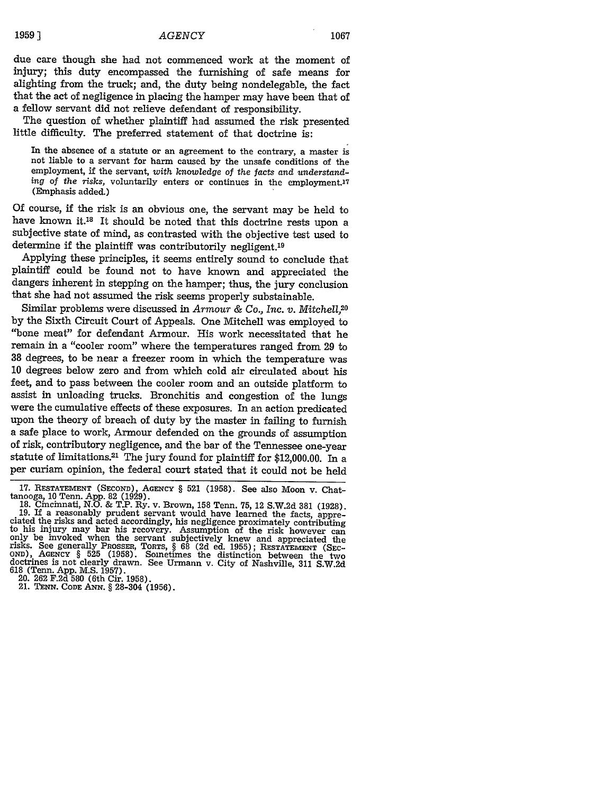due care though she had not commenced work at the moment of injury; this duty encompassed the furnishing of safe means for alighting from the truck; and, the duty being nondelegable, the fact that the act of negligence in placing the hamper may have been that of a fellow servant did not relieve defendant of responsibility.

The question of whether plaintiff had assumed the risk presented little difficulty. The preferred statement of that doctrine is:

In the absence of a statute or an agreement to the contrary, a master is not liable to a servant for harm caused by the unsafe conditions of the employment, if the servant, *with knowledge of the facts and understanding of the risks,* voluntarily enters or continues in the employment.'? (Emphasis added.)

Of course, if the risk is an obvious one, the servant may be held to have known it.<sup>18</sup> It should be noted that this doctrine rests upon a subjective state of mind, as contrasted with the objective test used to determine if the plaintiff was contributorily negligent.<sup>19</sup>

Applying these principles, it seems entirely sound to conclude that plaintiff could be found not to have known and appreciated the dangers inherent in stepping on the hamper; thus, the jury conclusion that she had not assumed the risk seems properly substainable.

Similar problems were discussed in *Armour & Co., Inc. v. Mitchell*,<sup>20</sup> by the Sixth Circuit Court of Appeals. One Mitchell was employed to "bone meat" for defendant Armour. His work necessitated that he remain in a "cooler room" where the temperatures ranged from 29 to 38 degrees, to be near a freezer room in which the temperature was 10 degrees below zero and from which cold air circulated about his feet, and to pass between the cooler room and an outside platform to assist in unloading trucks. Bronchitis and congestion of the lungs were the cumulative effects of these exposures. In an action predicated upon the theory of breach of duty by the master in failing to furnish a safe place to work, Armour defended on the grounds of assumption of risk, contributory negligence, and the bar of the Tennessee one-year statute of limitations.21 The jury found for plaintiff for \$12,000.00. In a per curiam opinion, the federal court stated that it could not be held

<sup>17.</sup> **RESTATEMENT (SECOND), AGENCY** § 521 (1958). See also Moon v. Chat-

<sup>18.</sup> Cmcinnati, N.O. & T.P. Ry. v. Brown, 158 Tenn. 75, 12 S.W.2d 381 (1928).<br>19. If a reasonably prudent servant would have learned the facts, appreciated the risks and acted accordingly, his negligence proximately contrib **OND), AGENCY** § 525 (1958). Sometimes the distinction between the two doctrines is not clearly drawn. See Urmann v. City of Nashville, 311 S.W.2d 618 (Tenn. App. M.S. 1957). 20. 262 F.2d 580 (6th Cir. 1958). 21. **TENN.** CODE ANN. **§** 28-304 (1956).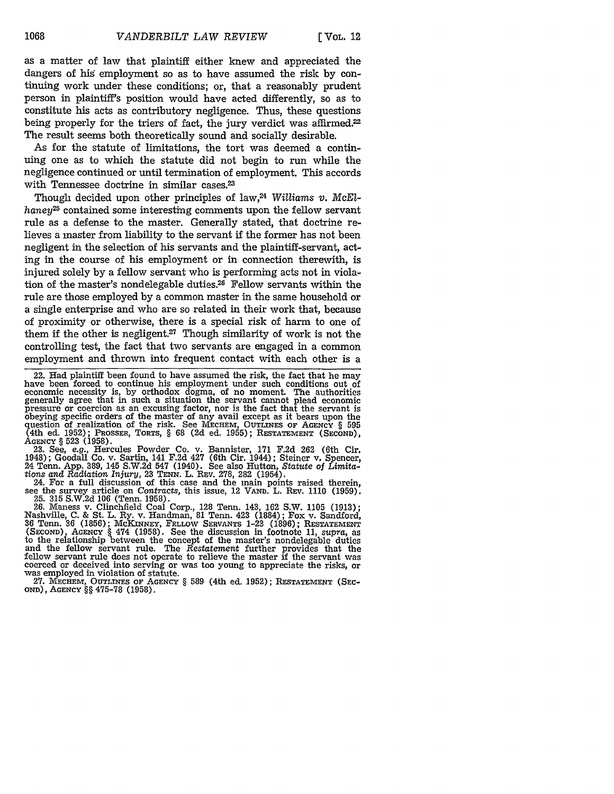as a matter of law that plaintiff either knew and appreciated the dangers of his employment so as to have assumed the risk by continuing work under these conditions; or, that a reasonably prudent person in plaintiff's position would have acted differently, so as to constitute his acts as contributory negligence. Thus, these questions being properly for the triers of fact, the jury verdict was affirmed.<sup>22</sup> The result seems both theoretically sound and socially desirable.

As for the statute of limitations, the tort was deemed a continuing one as to which the statute did not begin to run while the negligence continued or until termination of employment. This accords with Tennessee doctrine in similar cases.<sup>23</sup>

Though decided upon other principles of law,24 *Williams v. McElhaney25* contained some interesting comments upon the fellow servant rule as a defense to the master. Generally stated, that doctrine relieves a master from liability to the servant if the former has not been negligent in the selection of his servants and the plaintiff-servant, acting in the course of his employment or in connection therewith, is injured solely by a fellow servant who is performing acts not in violation of the master's nondelegable duties.28 Fellow servants within the rule are those employed by a common master in the same household or a single enterprise and who are so related in their work that, because of proximity or otherwise, there is a special risk of harm to one of them if the other is negligent.27 Though similarity of work is not the controlling test, the fact that two servants are engaged in a common employment and thrown into frequent contact with each other is a

1948); Goodall Co. v. Sartin, 141 F.2d 427 (6th Cir. 1944); Steiner v. Spencer, 24 Tenn. App. 389, 145 S.W.2d 547 (1940). See also Hutton, *Statute of Limita-*

Fig. 1. Here, 1923. TeNN. L. Rev. 278, 282 (1954).<br>24. For a full discussion of this case and the main points raised therein,<br>see the survey article on *Contracts*, this issue, 12 VAND. L. Rev. 1110 (1959).

25. 315 S.W.2d 106 (Tenn. 1958).<br>
26. Maness v. Clinchfield Coal Corp., 128 Tenn. 143, 162 S.W. 1105 (1913);<br>
Nashville, C. & St. L. Ry. v. Handman, 81 Tenn. 423 (1884); Fox v. Sandford,<br>
36 Tenn. 36 (1856); McKNNNEY, FEL and the fellow servant rule. The *Restatement* further provides that the fellow servant rule does not operate to relieve the master if the servant was coerced or deceived into serving or was too young to appreciate the risks, or was employed in violation of statute. **27. MECHEM, OUTLINES OF AGENCY § 589** (4th ed. **1952); RESTATEMENT (SEc-**

OND), **AGENCY** §§ 475-78 **(1958).**

<sup>22.</sup> Had plaintiff been found to have assumed the risk, the fact that he may have been forced to continue his employment under such conditions out of economic necessity is, by orthodox dogma, of no moment. The authorities generally agree that in such a situation the servant cannot plead economic pressure or coercion as an excusing factor, nor is the fact that the servant is obeying specific orders of the master of any avail except as it bears upon the question of realization of the risk. See **MECHEM, OUTLINES or AGENCY** § **595** (4th ed. 1952); PROSSER, TORTS, § 68 (2d ed. 1955); **RESTATEMENT (SECOND),** AGENCY § 523 (1958). 23. See, e.g., Hercules Powder Co. v. Bannister, 171 F.2d 262 (6th Cir.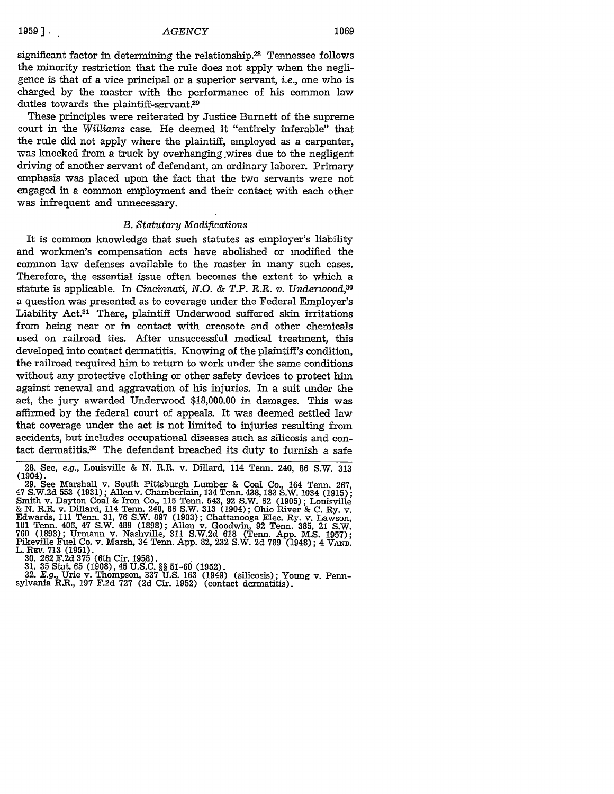significant factor in determining the relationship. $28$  Tennessee follows the minority restriction that the rule does not apply when the negligence is that of a vice principal or a superior servant, *i.e.,* one who is charged **by** the master with the performance of his common law duties towards the plaintiff-servant.29

These principles were reiterated **by** Justice Burnett of the supreme court in the *Williams* case. He deemed it "entirely inferable" that the rule did not apply where the plaintiff, employed as a carpenter, was knocked from a truck **by** overhanging wires due to the negligent driving of another servant of defendant, an ordinary laborer. Primary emphasis was placed upon the fact that the two servants were not engaged in a common employment and their contact with each other was infrequent and unnecessary.

#### *B. Statutory Modiftcations*

It is common knowledge that such statutes as employer's liability and workmen's compensation acts have abolished or modified the common law defenses available to the master in many such cases. Therefore, the essential issue often becomes the extent to which a statute is applicable. In *Cincinnati, N.O. & T.P. R.R. v. Underwood,30* a question was presented as to coverage under the Federal Employer's Liability Act.3' There, plaintiff Underwood suffered skin irritations from being near or in contact with creosote and other chemicals used on railroad ties. After unsuccessful medical treatment, this developed into contact dermatitis. Knowing of the plaintiff's condition, the railroad required him to return to work under the same conditions without any protective clothing or other safety devices to protect him against renewal and aggravation of his injuries. In a suit under the act, the jury awarded Underwood \$18,000.00 in damages. This was affirmed by the federal court of appeals. It was deemed settled law that coverage under the act is not limited to injuries resulting from accidents, but includes occupational diseases such as silicosis and contact dermatitis. $32$  The defendant breached its duty to furnish a safe

29. See Marshall v. South Pittsburgh Lumber & Coal Co., 164 Tenn. 267, 47 S.W.2d 553 (1931); Allen v. Chamberlain, 134 Tenn. 438, 183 S.W. 1034 (1915); Smith v. Dayton Coal & Iron Co., 115 Tenn. 543, 92 S.W. 62 (1905); Louisville & N. R.R. v. Dillard, 114 Tenn. 240, 86 S.W. 313 (1904); Ohio River & C. Ry. v. Edwards, 111 Tenn. 31, **76** S.W. 897 (1903); Chattanooga Elec. Ry. v. Lawson, 101 Tenn. 406, 47 S.W. 489 (1898); Allen v. Goodwin, 92 Tenn. 385, 21 S.W. 760 (1893); Urmann v. Nashville, 311 S.W.2d 618 (Tenn. App. **M.S.** 1957); Pikeville Fuel Co. v. Marsh, 34 Tenn. App. 82, 232 S.W. 2d 789 (1948); 4 **VAND.**

L. REV. 713 (1951).<br>
30. 262 F.2d 375 (6th Cir. 1958).<br>
31. 35 Stat. 65 (1908), 45 U.S.C. §§ 51-60 (1952).<br>
32. E.g., Urie v. Thompson, 337 U.S. 163 (1949) (silicosis); Young v. Penn-<br>
sylvania R.R., 197 F.2d 727 (2d Cir.

<sup>28.</sup> See, *e.g.,* Louisville & N. R.R. v. Dillard, 114 Tenn. 240, 86 S.W. 313 (1904).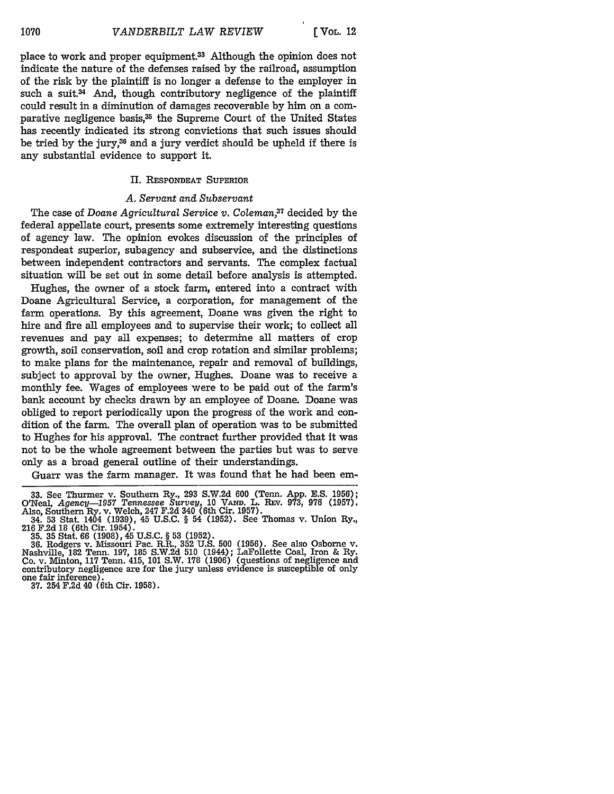place to work and proper equipment.<sup>33</sup> Although the opinion does not indicate the nature of the defenses raised by the railroad, assumption of the risk by the plaintiff is no longer a defense to the employer in such a suit.<sup>34</sup> And, though contributory negligence of the plaintiff could result in a diminution of damages recoverable by him on a comparative negligence basis,<sup>35</sup> the Supreme Court of the United States has recently indicated its strong convictions that such issues should be tried by the jury,<sup>36</sup> and a jury verdict should be upheld if there is any substantial evidence to support it.

### **II.** RESPONDEAT SUPERIOR

#### *A. Servant and Subservant*

The case of *Doane Agricultural Service v. Coleman*,<sup>37</sup> decided by the federal appellate court, presents some extremely interesting questions of agency law. The opinion evokes discussion of the principles of respondeat superior, subagency and subservice, and the distinctions between independent contractors and servants. The complex factual situation will be set out in some detail before analysis is attempted.

Hughes, the owner of a stock farm, entered into a contract with Doane Agricultural Service, a corporation, for management of the farm operations. By this agreement, Doane was given the right to hire and fire all employees and to supervise their work; to collect all revenues and pay all expenses; to determine all matters of crop growth, soil conservation, soil and crop rotation and similar problems; to make plans for the maintenance, repair and removal of buildings, subject to approval by the owner, Hughes. Doane was to receive a monthly fee. Wages of employees were to be paid out of the farm's bank account by checks drawn by an employee of Doane. Doane was obliged to report periodically upon the progress of the work and condition of the farm. The overall plan of operation was to be submitted to Hughes for his approval. The contract further provided that it was not to be the whole agreement between the parties but was to serve only as a broad general outline of their understandings.

Guarr was the farm manager. It was found that he had been em-

**37.** 254 F.2d 40 (6th Cir. 1958).

**<sup>33.</sup>** See Thurmer v. Southern Ry., 293 S.W.2d 600 (Tenn. App. E.S. **1956);** O'Neal, *Agency-1957 Tennessee Survey,* 10 VAm. L. **REV.** 973, 976 (1957). Also, Southern Ry. v. Welch, 247 F.2d 340 (6th Cir. 1957).

**<sup>34. 53</sup> Stat. 1404 (1939), 45 U.S.C. § 54 (1952). See Thomas v. Union Ry.,** 216 F.2d 18 (6th Cir. 1954).

**<sup>35. 35</sup>** Stat. 66 (1908), 45 U.S.C. § **53** (1952). **36.** Rodgers v. Missouri Pac. R.R., 352 U.S. 500 (1956). See also Osborne v. Nashville, 182 Tenn. 197, 185 S.W.2d **510** (1944); LaFollette Coal, Iron & Ry. Co. v. Minton, **117** Tenn. 415, 101 S.W. 178 (1906) (questions of negligence and contributory negligence are for the jury unless evidence is susceptible of only one fair inference).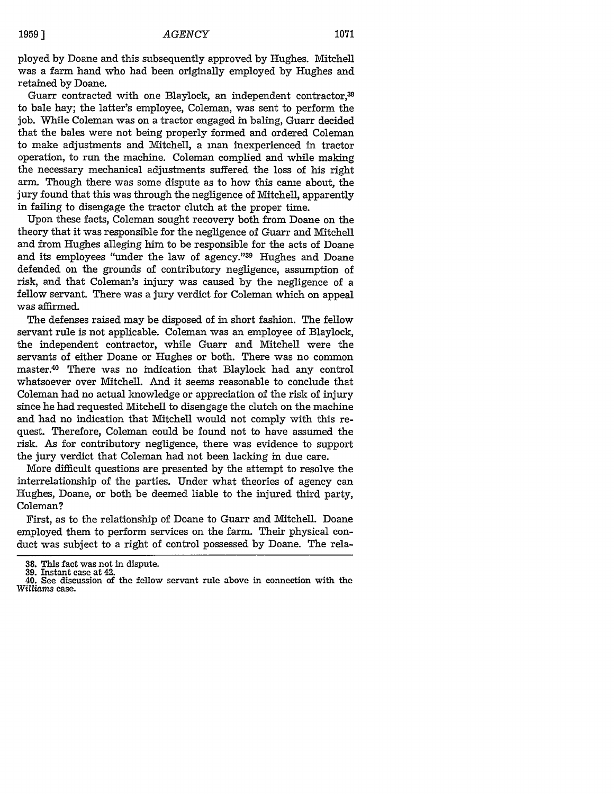ployed by Doane and this subsequently approved by Hughes. Mitchell was a farm hand who had been originally employed by Hughes and retained by Doane.

Guarr contracted with one Blaylock, an independent contractor,<sup>38</sup> to bale hay; the latter's employee, Coleman, was sent to perform the job. While Coleman was on a tractor engaged in baling, Guarr decided that the bales were not being properly formed and ordered Coleman to make adjustments and Mitchell, a man inexperienced in tractor operation, to run the machine. Coleman complied and while making the necessary mechanical adjustments suffered the loss of his right arm. Though there was some dispute as to how this came about, the jury found that this was through the negligence of Mitchell, apparently in failing to disengage the tractor clutch at the proper time.

Upon these facts, Coleman sought recovery both from Doane on the theory that it was responsible for the negligence of Guarr and Mitchell and from Hughes alleging him to be responsible for the acts of Doane and its employees "under the law of agency."<sup>39</sup> Hughes and Doane defended on the grounds of contributory negligence, assumption of risk, and that Coleman's injury was caused by the negligence of a fellow servant. There was a jury verdict for Coleman which on appeal was affirmed.

The defenses raised may be disposed of in short fashion. The fellow servant rule is not applicable. Coleman was an employee of Blaylock, the independent contractor, while Guarr and Mitchell were the servants of either Doane or Hughes or both. There was no common master.40 There was no indication that Blaylock had any control whatsoever over Mitchell. And it seems reasonable to conclude that Coleman had no actual knowledge or appreciation of the risk of injury since he had requested Mitchell to disengage the clutch on the machine and had no indication that Mitchell would not comply with this request. Therefore, Coleman could be found not to have assumed the risk. As for contributory negligence, there was evidence to support the jury verdict that Coleman had not been lacking in due care.

More difficult questions are presented by the attempt to resolve the interrelationship of the parties. Under what theories of agency can Hughes, Doane, or both be deemed liable to the injured third party, Coleman?

First, as to the relationship of Doane to Guarr and Mitchell. Doane employed them to perform services on the farm. Their physical conduct was subject to a right of control possessed by Doane. The rela-

<sup>38.</sup> This fact was not in dispute. **39.** Instant case at 42.

<sup>40.</sup> See discussion of the fellow servant rule above in connection with the *Williams* case.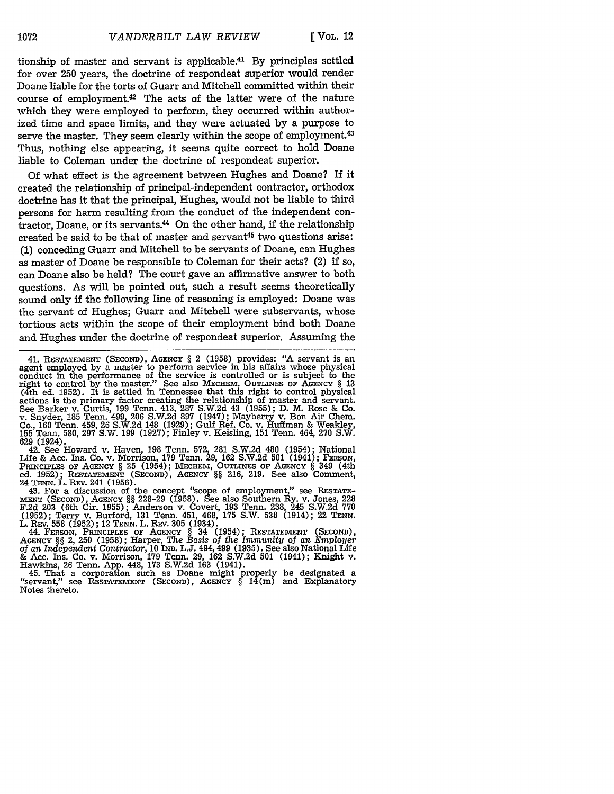tionship of master and servant is applicable.41 By principles settled for over 250 years, the doctrine of respondeat superior would render Doane liable for the torts of Guarr and Mitchell committed within their course of employment.<sup>42</sup> The acts of the latter were of the nature which they were employed to perform, they occurred within authorized time and space limits, and they were actuated by a purpose to serve the master. They seem clearly within the scope of employment.<sup>43</sup> Thus, nothing else appearing, it seems quite correct to hold Doane liable to Coleman under the doctrine of respondeat superior.

Of what effect is the agreement between Hughes and Doane? If it created the relationship of principal-independent contractor, orthodox doctrine has it that the principal, Hughes, would not be liable to third persons for harm resulting from the conduct of the independent con- $\frac{1}{1}$  tractor. Doane, or its servants.<sup>44</sup> On the other hand, if the relationship created be said to be that of master and servant<sup>45</sup> two questions arise: (1) conceding Guarr and Mitchell to be servants of Doane, can Hughes as master of Doane be responsible to Coleman for their acts? (2) if so, can Doane also be held? The court gave an affirmative answer to both questions. As will be pointed out, such a result seems theoretically sound only if the following line of reasoning is employed: Doane was the servant of Hughes; Guarr and Mitchell were subservants, whose tortious acts within the scope of their employment bind both Doane and Hughes under the doctrine of respondeat superior. Assuming the

42. See Howard v. Haven, 198 Tenn. **572, 281** S.W.2d 480 (1954); National Life & Acc. Ins. Co. v. Morrison, 179 Tenn. 29, 162 S.W.2d 501 (1941); FERSON, PRINCIPLES OF AGENCY § 25 (1954); MECHEM, OUTLINES OF AGENCY § 349 (4th ed. **1952); RESTATEMENT** (SECOND), **AGENCY** §§ **216, 219.** See also Comment,

24 **TENN.** L. REV. 241 **(1956).** 43. For a discussion of the concept "scope of employment," see **RESTATE-MENT (SECOND), AGENCY** §§ 228-29 **(1958).** See also Southern Ry. v. Jones, 228 **F.2d 203** (6th Cir. **1955);** Anderson v. Covert, **193** Tenn. 238, 245 **S.W.2d 770 (1952);** Terry v. Burford, **131** Tenn. 451, 468, **175** S.W. **538** (1914); 22 **TENN.** L. **REV. 558 (1952);** 12 TENN. L. **REV. 305** (1934).

44. **FERSON, PRINCIPLES OF AGENCY** § 34 (1954); **RESTATEMENT (SECOND), AGENCY** §§ 2, 250 **(1958);** Harper, *The Basis of the Immunity of an Employer of an Independent Contractor,* 10 **IND.** L.J. 494, 499 (1935). See also National Life & Ace. Ins. Co. v. Morrison, **179** Tenn. 29, 162 S.W.2d 501 (1941); Knight v. Hawkins, 26 Tenn. App. 448, **173** S.W.2d 163 (1941).

45. That a corporation such as Doane might properly be designated a "servant," see **RESTATEMENT (SECOND), AGENCY** § 14(m) and Explanatory Notes thereto.

**<sup>41.</sup> RESTATEMENT (SECOND), AGENCY** § 2 **(1958) provides: "A** servant is an agent employed by a master to perform service in his affairs whose physical conduct in the performance of the service is controlled or is subject to the right **to** control by the master." See also **MEcHEM,** OuTNEs **OF AGENCY** § 13 (4th ed. 1952). It is settled in Tennessee that this right to control physical actions is the primary factor creating the relationship of master and servant. See Barker v. Curtis, 199 Tenn. 413, 287 S.W.2d 43 (1955); D. M. Rose & Co. v. Snyder, **185** Tenn. 499, 206 S.W.2d **897** (1947); Mayberry v. Boan Air Chem. Co., 160 Tenn. 459, 26 S.W.2d 148 (1929); Gulf Ref. Co. v. Huffman & Weakley, **155** Tenn. 580, 297 S.W. 199 (1927); Finley v. Keisling, **151** Tenn. 464, **270** S.W. 629 (1924).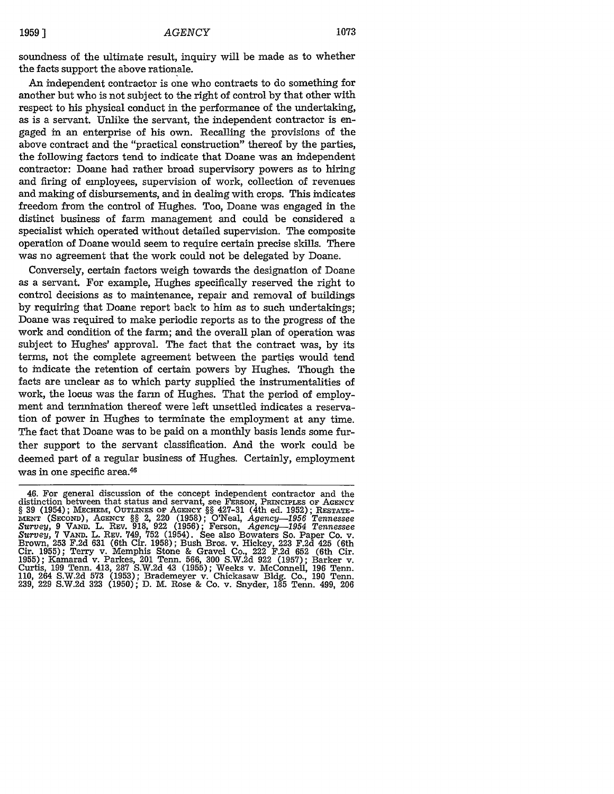soundness of the ultimate result, inquiry will be made as to whether the facts support the above rationale.

An independent contractor is one who contracts to do something for another but who is not subject to the right of control by that other with respect to his physical conduct in the performance of the undertaking, as is a servant. Unlike the servant, the independent contractor is engaged in an enterprise of his own. Recalling the provisions of the above contract and the "practical construction" thereof by the parties, the following factors tend to indicate that Doane was an independent contractor: Doane had rather broad supervisory powers as to hiring and firing of employees, supervision of work, collection of revenues and making of disbursements, and in dealing with crops. This indicates freedom from the control of Hughes. Too, Doane was engaged in the distinct business of farm management and could be considered a specialist which operated without detailed supervision. The composite operation of Doane would seem to require certain precise skills. There was no agreement that the work could not be delegated by Doane.

Conversely, certain factors weigh towards the designation of Doane as a servant. For example, Hughes specifically reserved the right to control decisions as to maintenance, repair and removal of buildings by requiring that Doane report back to him as to such undertakings; Doane was required to make periodic reports as to the progress of the work and condition of the farm; and the overall plan of operation was subject to Hughes' approval. The fact that the contract was, by its terms, not the complete agreement between the parties would tend to indicate the retention of certain powers by Hughes. Though the facts are unclear as to which party supplied the instrumentalities of work, the locus was the farm of Hughes. That the period of employment and termination thereof were left unsettled indicates a reservation of power in Hughes to terminate the employment at any time. The fact that Doane was to be paid on a monthly basis lends some further support to the servant classification. And the work could be deemed part of a regular business of Hughes. Certainly, employment was in one specific area.46

<sup>46.</sup> For general discussion of the concept independent contractor and the distinction between that status and servant, see FERSON, PRINCIPLES OF **AGENCY § 39** (1954); **MECHEM,** OUTLINES OF AGENCY **§§** 427-31 (4th ed. 1952); RESTATE-**MENT** (SECOND), AGENCY **§§** 2, 220 (1958); O'Neal, *Agency-956 Tennessee Survey,* <sup>9</sup>**VAND.** L. REV. 918, 922 (1956); Ferson, *Agency-1954 Tennessee Survey,* **7** VAND. L. REV. 749, **752** (1954). See also Bowaters So. Paper Co. v. Brown, **253** F.2d 631 (6th Cir. 1958); Bush Bros. v. Hickey, 223 F.2d 425 (6th Cir. 1955); Terry v. Memphis Stone & Gravel Co., 222 F.2d 652 (6th Cir. 1955); Kamarad v. Parkes, 201 Tenn. 566, 300 S.W.2d 922 (1957); Barker v. Curtis, 199 Tenn. 413, 287 S.W.2d 43 (1955); Weeks v. McConnell, 196 Tenn. 110, 264 S.W.2d 573 (1953); Brademeyer v. Chickasaw Bldg. Co., 190 Tenn. 239, 229 S.W.2d **323** (1950); D. M. Rose & Co. v. Snyder, 185 Tenn. 499, 206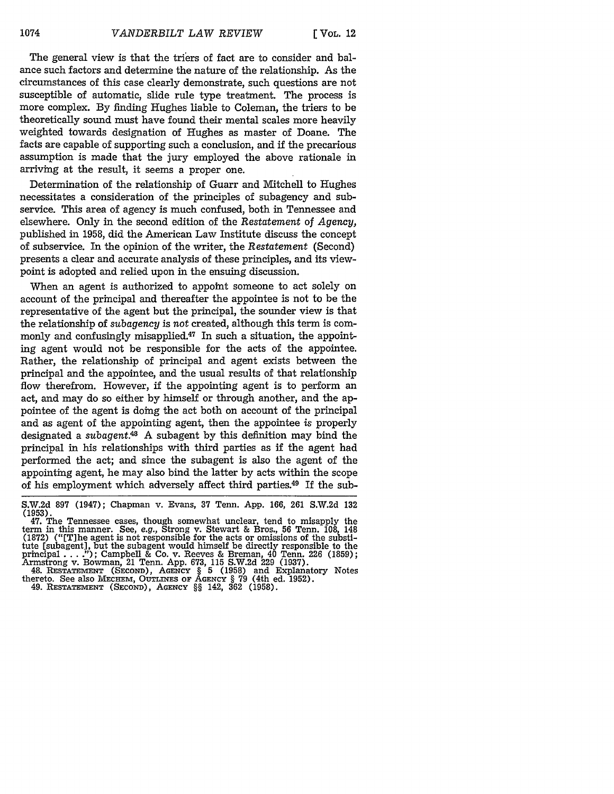The general view is that the triers of fact are to consider and balance such factors and determine the nature of the relationship. As the circumstances of this case clearly demonstrate, such questions are not susceptible of automatic, slide rule type treatment. The process is more complex. By finding Hughes liable to Coleman, the triers to be theoretically sound must have found their mental scales more heavily weighted towards designation of Hughes as master of Doane. The facts are capable of supporting such a conclusion, and if the precarious assumption is made that the jury employed the above rationale in arriving at the result, it seems a proper one.

Determination of the relationship of Guarr and Mitchell to Hughes necessitates a consideration of the principles of subagency and subservice. This area of agency is much confused, both in Tennessee and elsewhere. Only in the second edition of the *Restatement of Agency,* published in 1958, did the American Law Institute discuss the concept of subservice. In the opinion of the writer, the *Restatement* (Second) presents a clear and accurate analysis of these principles, and its viewpoint is adopted and relied upon in the ensuing discussion.

When an agent is authorized to appoint someone to act solely on account of the principal and thereafter the appointee is not to be the representative of the agent but the principal, the sounder view is that the relationship of *subagency* is not created, although this term is commonly and confusingly misapplied.<sup>47</sup> In such a situation, the appointing agent would not be responsible for the acts of the appointee. Rather, the relationship of principal and agent exists between the principal and the appointee, and the usual results of that relationship flow therefrom. However, if the appointing agent is to perform an act, and may do so either by himself or through another, and the appointee of the agent is doing the act both on account of the principal and as agent of the appointing agent, then the appointee is properly designated a *subagent.48* A subagent by this definition may bind the principal in his relationships with third parties as if the agent had performed the act; and since the subagent is also the agent of the appointing agent, he may also bind the latter by acts within the scope of his employment which adversely affect third parties.49 If the sub-

<sup>1</sup>47. The Tennessee cases, though somewhat unclear, tend to misapply the term in this manner. See, e.g., Strong v. Stewart & Bros., 56 Tenn. 108, 148 (1872) ("[T]he agent is not responsible for the acts or omissions of the substitute [subagent], but the subagent would himself be directly responsible to the principal .... **.");** Campbell & Co. v. Reeves & Breman, 40 Tenn. 226 (1859); Armstrong v. Bowman, 21 Tenn. **App. 673,** 115 S.W.2d 229 (1937). 48. **RESTATEMENT (SECOND),** AGENCY § 5 (1958) and Explanatory Notes

thereto. See also MEcHEM, **OUTLINES OF AGENCY** § **79** (4th ed. **1952).** 49. **RESTATEMENT (SEcoND), AGENCY** §§ 142, **362 (1958).**

S.W.2d 897 (1947); Chapman v. Evans, 37 Tenn. App. 166, 261 S.W.2d **132** (1953).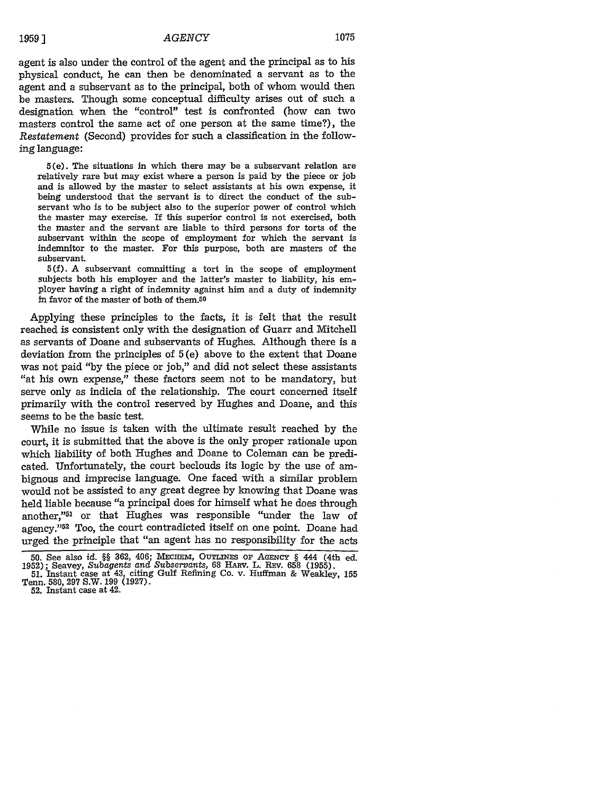#### *AGENCY*

1075

agent is also under the control of the agent and the principal as to his physical conduct, he can then be denominated a servant as to the agent and a subservant as to the principal, both of whom would then be masters. Though some conceptual difficulty arises out of such a designation when the "control" test is confronted (how can two masters control the same act of one person at the same time?), the *Restatement* (Second) provides for such a classification in the following language:

5(e). The situations in which there may be a subservant relation are relatively rare but may exist where a person is paid by the piece or **job** and is allowed by the master to select assistants at his own expense, it being understood that the servant is to direct the conduct of the subservant who is to be subject also to the superior power of control which the master may exercise. If this superior control is not exercised, both the master and the servant are liable to third persons for torts of the subservant within the scope of employment for which the servant is indemnitor to the master. For this purpose, both are masters of the subservant.

**5(f).** A subservant committing a tort in the scope of employment subjects both his employer and the latter's master to liability, his employer having a right of indemnity against him and a duty of indemnity in favor of the master of both of them. $50$ 

Applying these principles to the facts, it is felt that the result reached is consistent only with the designation of Guarr and Mitchell as servants of Doane and subservants of Hughes. Although there is a deviation from the principles of 5 (e) above to the extent that Doane was not paid "by the piece or job," and did not select these assistants "at his own expense," these factors seem not to be mandatory, but serve only as indicia of the relationship. The court concerned itself primarily with the control reserved by Hughes and Doane, and this seems to be the basic test.

While no issue is taken with the ultimate result reached by the court, it is submitted that the above is the only proper rationale upon which liability of both Hughes and Doane to Coleman can be predicated. Unfortunately, the court beclouds its logic by the use of ambignous and imprecise language. One faced with a similar problem would not be assisted to any great degree by knowing that Doane was held liable because "a principal does for himself what he does through another,"51 or that Hughes was responsible "under the law of agency."<sup>52</sup> Too, the court contradicted itself on one point. Doane had urged the principle that "an agent has no responsibility for the acts

**<sup>50.</sup>** See also *id. §§* 362, 406; MEcHEm, OUTLINEs OF **AGENCY** § 444 (4th ed. 1952); Seavey, *Subagents and Subservants,* 68 HARv. L. REv. 658 (1955).

**<sup>51.</sup>** Instant case at 43, citing Gulf Refining Co. v. Huffman & Weakley, 155 Tenn. 580, 297 S.W. 199 (1927). 52. Instant case at 42.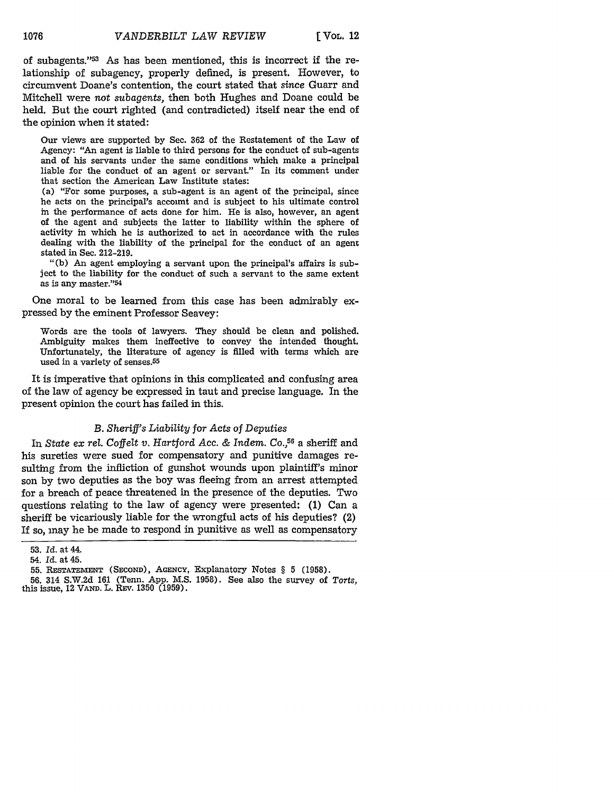of subagents."<sup>53</sup> As has been mentioned, this is incorrect if the relationship of subagency, properly defined, is present. However, to circumvent Doane's contention, the court stated that *since* Guarr and Mitchell were not *subagents,* then both Hughes and Doane could be held. But the court righted (and contradicted) itself near the end of the opinion when it stated:

Our views are supported **by** Sec. **362** of the Restatement of the Law of Agency: "An agent is liable to third persons for the conduct of sub-agents and of his servants under the same conditions which make a principal liable for the conduct of an agent or servant." In its comment under that section the American Law Institute states:

(a) "For some purposes, a sub-agent is an agent of the principal, since he acts on the principal's account and is subject to his ultimate control in the performance of acts done for him. He is also, however, an agent of the agent and subjects the latter to liability within the sphere of activity in which he is authorized to act in accordance with the rules dealing with the liability of the principal for the conduct of an agent stated in Sec. 212-219.

**"(b)** An agent employing a servant upon the principal's affairs is subject to the liability for the conduct of such a servant to the same extent as is any master."54

One moral to be learned from this case has been admirably expressed **by** the eminent Professor Seavey:

Words are the tools of lawyers. They should be clean and polished. Ambiguity makes them ineffective to convey the intended thought. Unfortunately, the literature of agency is filled with terms which are used in a variety of senses.<sup>55</sup>

It is imperative that opinions in this complicated and confusing area of the law of agency be expressed in taut and precise language. In the present opinion the court has failed in this.

### *B. Sheriff's Liability for Acts of Deputies*

In *State ex rel. Coffelt v. Hartford* Acc. & *Indem. Co.,5 <sup>6</sup>*a sheriff and his sureties were sued for compensatory and punitive damages resulting from the infliction of gunshot wounds upon plaintiff's minor son by two deputies as the boy was fleeing from an arrest attempted for a breach of peace threatened in the presence of the deputies. Two questions relating to the law of agency were presented: (1) Can a sheriff be vicariously liable for the wrongful acts of his deputies? (2) If so, may he be made to respond in punitive as well as compensatory

<sup>53.</sup> *Id.* at 44.

<sup>54.</sup> *Id.* at 45.

<sup>55.</sup> RESTATEMENT **(SECOND),** AGENCY, Explanatory Notes § 5 **(1958).**

**<sup>56.</sup>** 314 S.W.2d 161 (Tenn. App. M.S. 1958). See also the survey of *Torts,* this issue, 12 VAND. L. REV. **1350** (1959).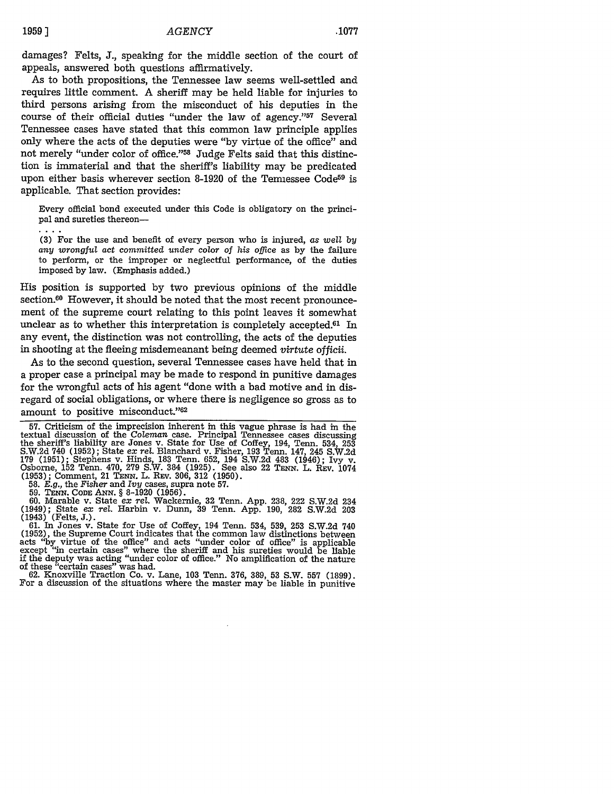damages? Felts, **J.,** speaking for the middle section of the court of appeals, answered both questions affirmatively.

As to both propositions, the Tennessee law seems well-settled and requires little comment. A sheriff may be held liable for injuries to third persons arising from the misconduct of his deputies in the course of their official duties "under the law of agency."57 Several Tennessee cases have stated that this common law principle applies only where the acts of the deputies were "by virtue of the office" and not merely "under color of office."<sup>58</sup> Judge Felts said that this distinction is immaterial and that the sheriff's liability may be predicated upon either basis wherever section 8-1920 of the Temiessee Code<sup>59</sup> is applicable. That section provides:

Every official bond executed under this Code is obligatory on the principal and sureties thereon-

**(3)** For the use and benefit of every person who is injured, as *well by any wrongful act committed under* color *of his* office as by the failure to perform, or the improper or neglectful performance, of the duties imposed by law. (Emphasis added.)

His position is supported by two previous opinions of the middle section.<sup>60</sup> However, it should be noted that the most recent pronouncement of the supreme court relating to this point leaves it somewhat unclear as to whether this interpretation is completely accepted.<sup>61</sup> In any event, the distinction was not controlling, the acts of the deputies in shooting at the fleeing misdemeanant being deemed *virtute officii.*

As to the second question, several Tennessee cases have held that in a proper case a principal may be made to respond in punitive damages for the wrongful acts of his agent "done with a bad motive and in disregard of social obligations, or where there is negligence so gross as to amount to positive misconduct."62

57. Criticism of the imprecision inherent in this vague phrase is had in the textual discussion of the Coleman case. Principal Tennessee cases discussing the sheriff's liability are Jones v. State for Use of Coffey, 194, Tenn. 534, **<sup>253</sup>** S.W.2d 740 (1952); State *ex rel*. Blanchard v. Fisher, 193 Tenn. 147, 245 S.W.2d 179 (1951); Stephens v. Hinds, 183 Tenn. 652, 194 S.W.2d 483 (1946); Ivy v. Osborne, 152 Tenn. 470, 279 S.W. 384 (1925). See also 22 TENN. L **(1953);** Comment, 21 **TENN.** L. **REV. 306, 312 (1950).**

**58.** *E.g.,* the Fisher and *Ivy* cases, supra note **57.**

59. **TENN. CODE ANN. §** 8-1920 **(1956).** 60. Marable v. State *ex rel.* Wackernie, 32 Tenn. App. 238, 222 S.W.2d 234 (1949); State *ex rel.* Harbin v. Dunn, 39 Tenn. App. 190, 282 S.W.2d 203 (1943) (Felts, J.).

61. In Jones v. State for Use of Coffey, 194 Tenn. 534, 539, 253 S.W.2d 740 (1952), the Supreme Court indicates that the common law distinctions between acts "by virtue of the office" and acts "under color of office" is a except "in certain cases" where the sheriff and his sureties would be liable if the deputy was acting "under color of office." No amplification of the nature of these "certain cases" was had.

62. Knoxville Traction Co. v. Lane, 103 Tenn. 376, 389, 53 S.W. **557** (1899). For a discussion of the situations where the master may be liable in punitive